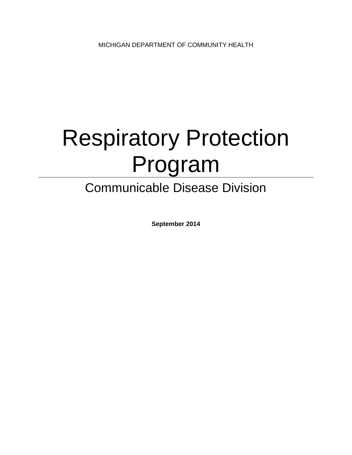# Respiratory Protection Program

## Communicable Disease Division

**September 2014**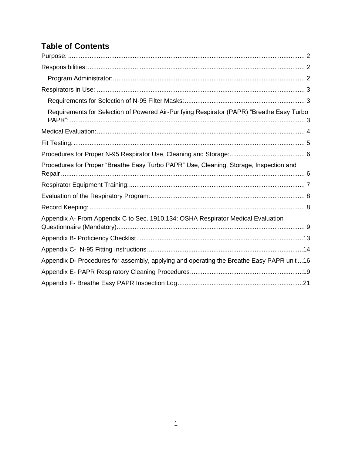#### **Table of Contents**

| Requirements for Selection of Powered Air-Purifying Respirator (PAPR) "Breathe Easy Turbo  |
|--------------------------------------------------------------------------------------------|
|                                                                                            |
|                                                                                            |
|                                                                                            |
| Procedures for Proper "Breathe Easy Turbo PAPR" Use, Cleaning, Storage, Inspection and     |
|                                                                                            |
|                                                                                            |
|                                                                                            |
| Appendix A- From Appendix C to Sec. 1910.134: OSHA Respirator Medical Evaluation           |
|                                                                                            |
|                                                                                            |
| Appendix D- Procedures for assembly, applying and operating the Breathe Easy PAPR unit  16 |
|                                                                                            |
|                                                                                            |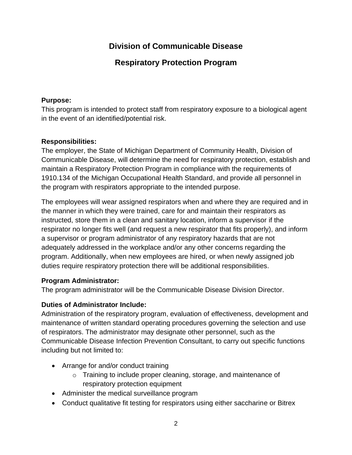#### **Division of Communicable Disease**

**Respiratory Protection Program**

#### <span id="page-2-0"></span>**Purpose:**

This program is intended to protect staff from respiratory exposure to a biological agent in the event of an identified/potential risk.

#### <span id="page-2-1"></span>**Responsibilities:**

The employer, the State of Michigan Department of Community Health, Division of Communicable Disease, will determine the need for respiratory protection, establish and maintain a Respiratory Protection Program in compliance with the requirements of 1910.134 of the Michigan Occupational Health Standard, and provide all personnel in the program with respirators appropriate to the intended purpose.

The employees will wear assigned respirators when and where they are required and in the manner in which they were trained, care for and maintain their respirators as instructed, store them in a clean and sanitary location, inform a supervisor if the respirator no longer fits well (and request a new respirator that fits properly), and inform a supervisor or program administrator of any respiratory hazards that are not adequately addressed in the workplace and/or any other concerns regarding the program. Additionally, when new employees are hired, or when newly assigned job duties require respiratory protection there will be additional responsibilities.

#### <span id="page-2-2"></span>**Program Administrator:**

The program administrator will be the Communicable Disease Division Director.

#### **Duties of Administrator Include:**

Administration of the respiratory program, evaluation of effectiveness, development and maintenance of written standard operating procedures governing the selection and use of respirators. The administrator may designate other personnel, such as the Communicable Disease Infection Prevention Consultant, to carry out specific functions including but not limited to:

- Arrange for and/or conduct training
	- o Training to include proper cleaning, storage, and maintenance of respiratory protection equipment
- Administer the medical surveillance program
- Conduct qualitative fit testing for respirators using either saccharine or Bitrex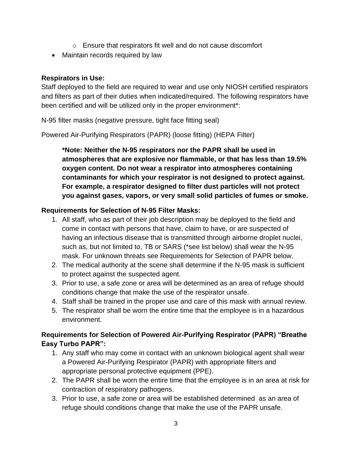- o Ensure that respirators fit well and do not cause discomfort
- Maintain records required by law

#### <span id="page-3-0"></span>**Respirators in Use:**

Staff deployed to the field are required to wear and use only NIOSH certified respirators and filters as part of their duties when indicated/required. The following respirators have been certified and will be utilized only in the proper environment\*:

N-95 filter masks (negative pressure, tight face fitting seal)

Powered Air-Purifying Respirators (PAPR) (loose fitting) (HEPA Filter)

**\*Note: Neither the N-95 respirators nor the PAPR shall be used in atmospheres that are explosive nor flammable, or that has less than 19.5% oxygen content. Do not wear a respirator into atmospheres containing contaminants for which your respirator is not designed to protect against. For example, a respirator designed to filter dust particles will not protect you against gases, vapors, or very small solid particles of fumes or smoke.**

#### <span id="page-3-1"></span>**Requirements for Selection of N-95 Filter Masks:**

- 1. All staff, who as part of their job description may be deployed to the field and come in contact with persons that have, claim to have, or are suspected of having an infectious disease that is transmitted through airborne droplet nuclei, such as, but not limited to, TB or SARS (\*see list below) shall wear the N-95 mask. For unknown threats see Requirements for Selection of PAPR below.
- 2. The medical authority at the scene shall determine if the N-95 mask is sufficient to protect against the suspected agent.
- 3. Prior to use, a safe zone or area will be determined as an area of refuge should conditions change that make the use of the respirator unsafe.
- 4. Staff shall be trained in the proper use and care of this mask with annual review.
- 5. The respirator shall be worn the entire time that the employee is in a hazardous environment.

#### <span id="page-3-2"></span>**Requirements for Selection of Powered Air-Purifying Respirator (PAPR) "Breathe Easy Turbo PAPR":**

- 1. Any staff who may come in contact with an unknown biological agent shall wear a Powered Air-Purifying Respirator (PAPR) with appropriate filters and appropriate personal protective equipment (PPE).
- 2. The PAPR shall be worn the entire time that the employee is in an area at risk for contraction of respiratory pathogens.
- 3. Prior to use, a safe zone or area will be established determined as an area of refuge should conditions change that make the use of the PAPR unsafe.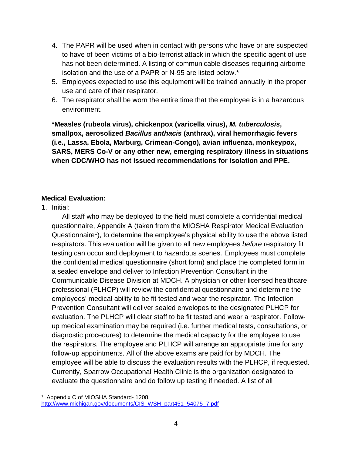- 4. The PAPR will be used when in contact with persons who have or are suspected to have of been victims of a bio-terrorist attack in which the specific agent of use has not been determined. A listing of communicable diseases requiring airborne isolation and the use of a PAPR or N-95 are listed below.\*
- 5. Employees expected to use this equipment will be trained annually in the proper use and care of their respirator.
- 6. The respirator shall be worn the entire time that the employee is in a hazardous environment.

**\*Measles (rubeola virus), chickenpox (varicella virus),** *M. tuberculosis***, smallpox, aerosolized** *Bacillus anthacis* **(anthrax), viral hemorrhagic fevers (i.e., Lassa, Ebola, Marburg, Crimean-Congo), avian influenza, monkeypox, SARS, MERS Co-V or any other new, emerging respiratory illness in situations when CDC/WHO has not issued recommendations for isolation and PPE.**

#### <span id="page-4-0"></span>**Medical Evaluation:**

1. Initial:

All staff who may be deployed to the field must complete a confidential medical questionnaire, Appendix A (taken from the MIOSHA Respirator Medical Evaluation Questionnaire<sup>1</sup>), to determine the employee's physical ability to use the above listed respirators. This evaluation will be given to all new employees *before* respiratory fit testing can occur and deployment to hazardous scenes. Employees must complete the confidential medical questionnaire (short form) and place the completed form in a sealed envelope and deliver to Infection Prevention Consultant in the Communicable Disease Division at MDCH. A physician or other licensed healthcare professional (PLHCP) will review the confidential questionnaire and determine the employees' medical ability to be fit tested and wear the respirator. The Infection Prevention Consultant will deliver sealed envelopes to the designated PLHCP for evaluation. The PLHCP will clear staff to be fit tested and wear a respirator. Followup medical examination may be required (i.e. further medical tests, consultations, or diagnostic procedures) to determine the medical capacity for the employee to use the respirators. The employee and PLHCP will arrange an appropriate time for any follow-up appointments. All of the above exams are paid for by MDCH. The employee will be able to discuss the evaluation results with the PLHCP, if requested. Currently, Sparrow Occupational Health Clinic is the organization designated to evaluate the questionnaire and do follow up testing if needed. A list of all

<sup>1</sup> Appendix C of MIOSHA Standard- 1208. [http://www.michigan.gov/documents/CIS\\_WSH\\_part451\\_54075\\_7.pdf](http://www.michigan.gov/documents/CIS_WSH_part451_54075_7.pdf)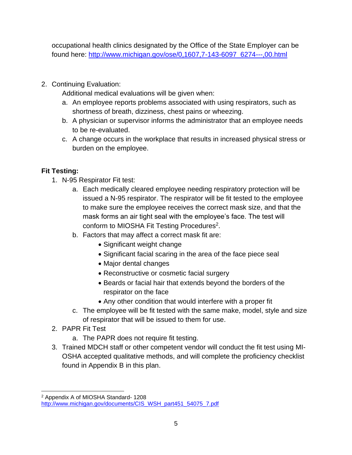occupational health clinics designated by the Office of the State Employer can be found here: [http://www.michigan.gov/ose/0,1607,7-143-6097\\_6274---,00.html](http://www.michigan.gov/ose/0,1607,7-143-6097_6274---,00.html)

2. Continuing Evaluation:

Additional medical evaluations will be given when:

- a. An employee reports problems associated with using respirators, such as shortness of breath, dizziness, chest pains or wheezing.
- b. A physician or supervisor informs the administrator that an employee needs to be re-evaluated.
- c. A change occurs in the workplace that results in increased physical stress or burden on the employee.

#### <span id="page-5-0"></span>**Fit Testing:**

- 1. N-95 Respirator Fit test:
	- a. Each medically cleared employee needing respiratory protection will be issued a N-95 respirator. The respirator will be fit tested to the employee to make sure the employee receives the correct mask size, and that the mask forms an air tight seal with the employee's face. The test will conform to MIOSHA Fit Testing Procedures<sup>2</sup>.
	- b. Factors that may affect a correct mask fit are:
		- Significant weight change
		- Significant facial scaring in the area of the face piece seal
		- Major dental changes
		- Reconstructive or cosmetic facial surgery
		- Beards or facial hair that extends beyond the borders of the respirator on the face
		- Any other condition that would interfere with a proper fit
	- c. The employee will be fit tested with the same make, model, style and size of respirator that will be issued to them for use.
- 2. PAPR Fit Test
	- a. The PAPR does not require fit testing.
- 3. Trained MDCH staff or other competent vendor will conduct the fit test using MI-OSHA accepted qualitative methods, and will complete the proficiency checklist found in Appendix B in this plan.

<sup>2</sup> Appendix A of MIOSHA Standard- 1208 [http://www.michigan.gov/documents/CIS\\_WSH\\_part451\\_54075\\_7.pdf](http://www.michigan.gov/documents/CIS_WSH_part451_54075_7.pdf)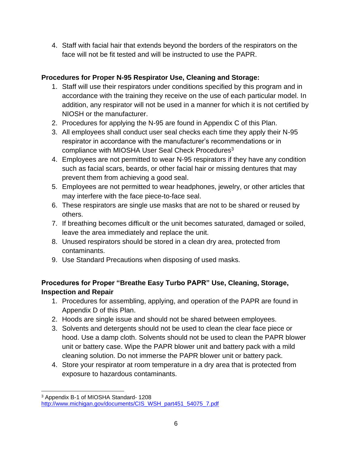4. Staff with facial hair that extends beyond the borders of the respirators on the face will not be fit tested and will be instructed to use the PAPR.

#### <span id="page-6-0"></span>**Procedures for Proper N-95 Respirator Use, Cleaning and Storage:**

- 1. Staff will use their respirators under conditions specified by this program and in accordance with the training they receive on the use of each particular model. In addition, any respirator will not be used in a manner for which it is not certified by NIOSH or the manufacturer.
- 2. Procedures for applying the N-95 are found in Appendix C of this Plan.
- 3. All employees shall conduct user seal checks each time they apply their N-95 respirator in accordance with the manufacturer's recommendations or in compliance with MIOSHA User Seal Check Procedures<sup>3</sup>
- 4. Employees are not permitted to wear N-95 respirators if they have any condition such as facial scars, beards, or other facial hair or missing dentures that may prevent them from achieving a good seal.
- 5. Employees are not permitted to wear headphones, jewelry, or other articles that may interfere with the face piece-to-face seal.
- 6. These respirators are single use masks that are not to be shared or reused by others.
- 7. If breathing becomes difficult or the unit becomes saturated, damaged or soiled, leave the area immediately and replace the unit.
- 8. Unused respirators should be stored in a clean dry area, protected from contaminants.
- 9. Use Standard Precautions when disposing of used masks.

#### <span id="page-6-1"></span>**Procedures for Proper "Breathe Easy Turbo PAPR" Use, Cleaning, Storage, Inspection and Repair**

- 1. Procedures for assembling, applying, and operation of the PAPR are found in Appendix D of this Plan.
- 2. Hoods are single issue and should not be shared between employees.
- 3. Solvents and detergents should not be used to clean the clear face piece or hood. Use a damp cloth. Solvents should not be used to clean the PAPR blower unit or battery case. Wipe the PAPR blower unit and battery pack with a mild cleaning solution. Do not immerse the PAPR blower unit or battery pack.
- 4. Store your respirator at room temperature in a dry area that is protected from exposure to hazardous contaminants.

<sup>3</sup> Appendix B-1 of MIOSHA Standard- 1208 [http://www.michigan.gov/documents/CIS\\_WSH\\_part451\\_54075\\_7.pdf](http://www.michigan.gov/documents/CIS_WSH_part451_54075_7.pdf)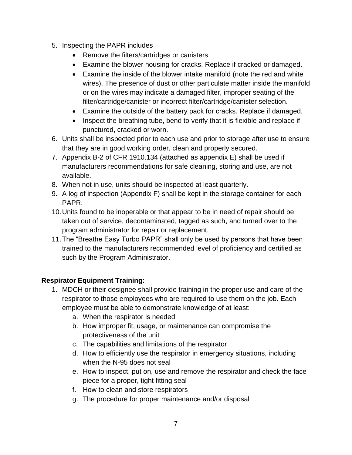- 5. Inspecting the PAPR includes
	- Remove the filters/cartridges or canisters
	- Examine the blower housing for cracks. Replace if cracked or damaged.
	- Examine the inside of the blower intake manifold (note the red and white wires). The presence of dust or other particulate matter inside the manifold or on the wires may indicate a damaged filter, improper seating of the filter/cartridge/canister or incorrect filter/cartridge/canister selection.
	- Examine the outside of the battery pack for cracks. Replace if damaged.
	- Inspect the breathing tube, bend to verify that it is flexible and replace if punctured, cracked or worn.
- 6. Units shall be inspected prior to each use and prior to storage after use to ensure that they are in good working order, clean and properly secured.
- 7. Appendix B-2 of CFR 1910.134 (attached as appendix E) shall be used if manufacturers recommendations for safe cleaning, storing and use, are not available.
- 8. When not in use, units should be inspected at least quarterly.
- 9. A log of inspection (Appendix F) shall be kept in the storage container for each PAPR.
- 10.Units found to be inoperable or that appear to be in need of repair should be taken out of service, decontaminated, tagged as such, and turned over to the program administrator for repair or replacement.
- 11.The "Breathe Easy Turbo PAPR" shall only be used by persons that have been trained to the manufacturers recommended level of proficiency and certified as such by the Program Administrator.

#### <span id="page-7-0"></span>**Respirator Equipment Training:**

- 1. MDCH or their designee shall provide training in the proper use and care of the respirator to those employees who are required to use them on the job. Each employee must be able to demonstrate knowledge of at least:
	- a. When the respirator is needed
	- b. How improper fit, usage, or maintenance can compromise the protectiveness of the unit
	- c. The capabilities and limitations of the respirator
	- d. How to efficiently use the respirator in emergency situations, including when the N-95 does not seal
	- e. How to inspect, put on, use and remove the respirator and check the face piece for a proper, tight fitting seal
	- f. How to clean and store respirators
	- g. The procedure for proper maintenance and/or disposal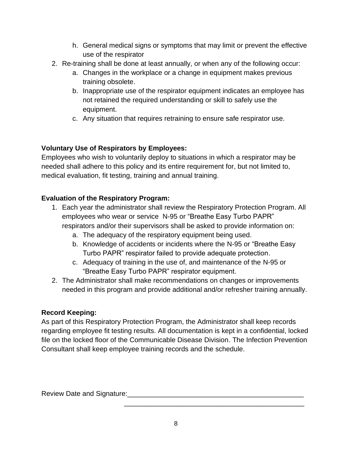- h. General medical signs or symptoms that may limit or prevent the effective use of the respirator
- 2. Re-training shall be done at least annually, or when any of the following occur:
	- a. Changes in the workplace or a change in equipment makes previous training obsolete.
	- b. Inappropriate use of the respirator equipment indicates an employee has not retained the required understanding or skill to safely use the equipment.
	- c. Any situation that requires retraining to ensure safe respirator use.

#### **Voluntary Use of Respirators by Employees:**

Employees who wish to voluntarily deploy to situations in which a respirator may be needed shall adhere to this policy and its entire requirement for, but not limited to, medical evaluation, fit testing, training and annual training.

#### <span id="page-8-0"></span>**Evaluation of the Respiratory Program:**

- 1. Each year the administrator shall review the Respiratory Protection Program. All employees who wear or service N-95 or "Breathe Easy Turbo PAPR" respirators and/or their supervisors shall be asked to provide information on:
	- a. The adequacy of the respiratory equipment being used.
	- b. Knowledge of accidents or incidents where the N-95 or "Breathe Easy Turbo PAPR" respirator failed to provide adequate protection.
	- c. Adequacy of training in the use of, and maintenance of the N-95 or "Breathe Easy Turbo PAPR" respirator equipment.
- 2. The Administrator shall make recommendations on changes or improvements needed in this program and provide additional and/or refresher training annually.

#### <span id="page-8-1"></span>**Record Keeping:**

As part of this Respiratory Protection Program, the Administrator shall keep records regarding employee fit testing results. All documentation is kept in a confidential, locked file on the locked floor of the Communicable Disease Division. The Infection Prevention Consultant shall keep employee training records and the schedule.

Review Date and Signature:

\_\_\_\_\_\_\_\_\_\_\_\_\_\_\_\_\_\_\_\_\_\_\_\_\_\_\_\_\_\_\_\_\_\_\_\_\_\_\_\_\_\_\_\_\_\_\_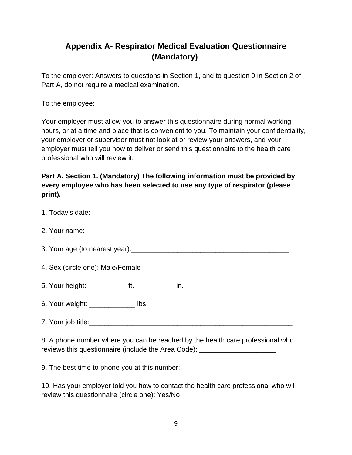#### <span id="page-9-0"></span>**Appendix A- Respirator Medical Evaluation Questionnaire (Mandatory)**

To the employer: Answers to questions in Section 1, and to question 9 in Section 2 of Part A, do not require a medical examination.

To the employee:

Your employer must allow you to answer this questionnaire during normal working hours, or at a time and place that is convenient to you. To maintain your confidentiality, your employer or supervisor must not look at or review your answers, and your employer must tell you how to deliver or send this questionnaire to the health care professional who will review it.

#### **Part A. Section 1. (Mandatory) The following information must be provided by every employee who has been selected to use any type of respirator (please print).**

| 4. Sex (circle one): Male/Female                                                                                                                                   |  |  |  |  |  |  |
|--------------------------------------------------------------------------------------------------------------------------------------------------------------------|--|--|--|--|--|--|
| 5. Your height: ______________ ft. _______________ in.                                                                                                             |  |  |  |  |  |  |
| 6. Your weight: _______________ lbs.                                                                                                                               |  |  |  |  |  |  |
|                                                                                                                                                                    |  |  |  |  |  |  |
| 8. A phone number where you can be reached by the health care professional who<br>reviews this questionnaire (include the Area Code): ____________________________ |  |  |  |  |  |  |

9. The best time to phone you at this number: \_\_\_\_\_\_\_\_\_\_\_\_\_\_\_\_\_\_\_\_\_\_\_\_\_\_\_\_\_\_\_\_\_\_

10. Has your employer told you how to contact the health care professional who will review this questionnaire (circle one): Yes/No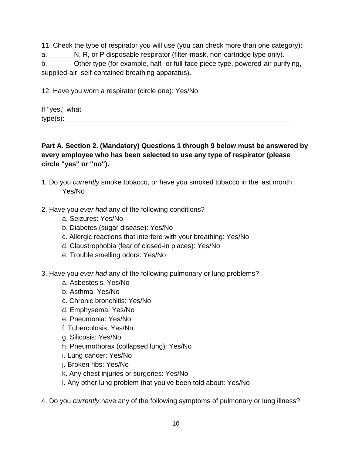11. Check the type of respirator you will use (you can check more than one category): a. N, R, or P disposable respirator (filter-mask, non-cartridge type only). b. **Other type (for example, half- or full-face piece type, powered-air purifying,** 

supplied-air, self-contained breathing apparatus).

12. Have you worn a respirator (circle one): Yes/No

If "yes," what  $type(s):$ \_\_\_\_\_\_\_\_\_\_\_\_\_\_\_\_\_\_\_\_\_\_\_\_\_\_\_\_\_\_\_\_\_\_\_\_\_\_\_\_\_\_\_\_\_\_\_\_\_\_\_\_\_\_\_\_\_\_\_\_\_

**Part A. Section 2. (Mandatory) Questions 1 through 9 below must be answered by every employee who has been selected to use any type of respirator (please circle "yes" or "no").**

- 1. Do you *currently* smoke tobacco, or have you smoked tobacco in the last month: Yes/No
- 2. Have you *ever had* any of the following conditions?
	- a. Seizures: Yes/No
	- b. Diabetes (sugar disease): Yes/No
	- c. Allergic reactions that interfere with your breathing: Yes/No
	- d. Claustrophobia (fear of closed-in places): Yes/No
	- e. Trouble smelling odors: Yes/No
- 3. Have you *ever had* any of the following pulmonary or lung problems?
	- a. Asbestosis: Yes/No
	- b. Asthma: Yes/No
	- c. Chronic bronchitis: Yes/No
	- d. Emphysema: Yes/No
	- e. Pneumonia: Yes/No
	- f. Tuberculosis: Yes/No
	- g. Silicosis: Yes/No
	- h. Pneumothorax (collapsed lung): Yes/No
	- i. Lung cancer: Yes/No
	- j. Broken ribs: Yes/No
	- k. Any chest injuries or surgeries: Yes/No
	- l. Any other lung problem that you've been told about: Yes/No
- 4. Do you *currently* have any of the following symptoms of pulmonary or lung illness?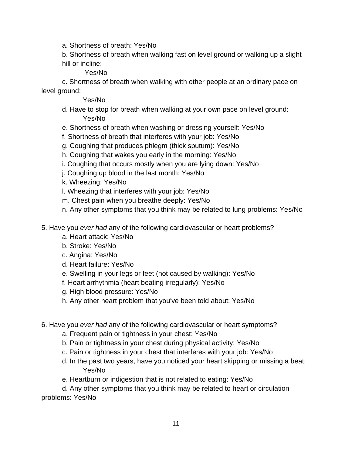a. Shortness of breath: Yes/No

b. Shortness of breath when walking fast on level ground or walking up a slight hill or incline:

Yes/No

c. Shortness of breath when walking with other people at an ordinary pace on level ground:

#### Yes/No

- d. Have to stop for breath when walking at your own pace on level ground: Yes/No
- e. Shortness of breath when washing or dressing yourself: Yes/No
- f. Shortness of breath that interferes with your job: Yes/No
- g. Coughing that produces phlegm (thick sputum): Yes/No
- h. Coughing that wakes you early in the morning: Yes/No
- i. Coughing that occurs mostly when you are lying down: Yes/No
- j. Coughing up blood in the last month: Yes/No
- k. Wheezing: Yes/No
- l. Wheezing that interferes with your job: Yes/No
- m. Chest pain when you breathe deeply: Yes/No
- n. Any other symptoms that you think may be related to lung problems: Yes/No
- 5. Have you *ever had* any of the following cardiovascular or heart problems?
	- a. Heart attack: Yes/No
	- b. Stroke: Yes/No
	- c. Angina: Yes/No
	- d. Heart failure: Yes/No
	- e. Swelling in your legs or feet (not caused by walking): Yes/No
	- f. Heart arrhythmia (heart beating irregularly): Yes/No
	- g. High blood pressure: Yes/No
	- h. Any other heart problem that you've been told about: Yes/No

#### 6. Have you *ever had* any of the following cardiovascular or heart symptoms?

- a. Frequent pain or tightness in your chest: Yes/No
- b. Pain or tightness in your chest during physical activity: Yes/No
- c. Pain or tightness in your chest that interferes with your job: Yes/No
- d. In the past two years, have you noticed your heart skipping or missing a beat: Yes/No
- e. Heartburn or indigestion that is not related to eating: Yes/No

d. Any other symptoms that you think may be related to heart or circulation problems: Yes/No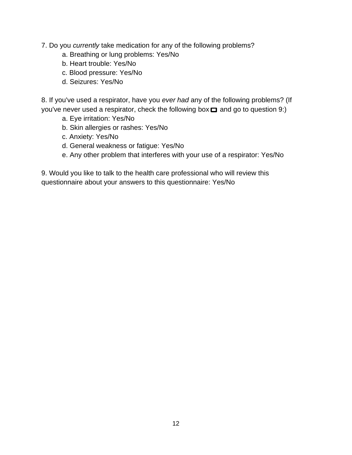7. Do you *currently* take medication for any of the following problems?

- a. Breathing or lung problems: Yes/No
- b. Heart trouble: Yes/No
- c. Blood pressure: Yes/No
- d. Seizures: Yes/No

8. If you've used a respirator, have you *ever had* any of the following problems? (If you've never used a respirator, check the following box  $\Box$  and go to question 9:)

- a. Eye irritation: Yes/No
- b. Skin allergies or rashes: Yes/No
- c. Anxiety: Yes/No
- d. General weakness or fatigue: Yes/No
- e. Any other problem that interferes with your use of a respirator: Yes/No

9. Would you like to talk to the health care professional who will review this questionnaire about your answers to this questionnaire: Yes/No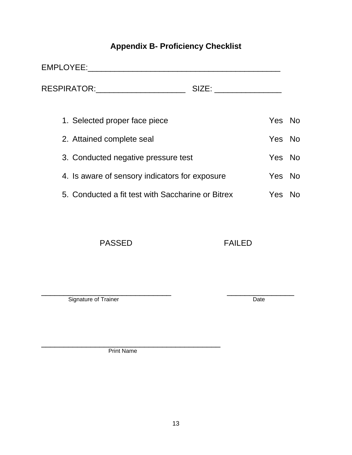## **Appendix B- Proficiency Checklist**

<span id="page-13-0"></span>

|                                     | EMPLOYEE:                                         |       |        |    |
|-------------------------------------|---------------------------------------------------|-------|--------|----|
|                                     | RESPIRATOR:                                       | SIZE: |        |    |
|                                     | 1. Selected proper face piece                     |       | Yes No |    |
|                                     | 2. Attained complete seal                         |       | Yes No |    |
| 3. Conducted negative pressure test |                                                   |       | Yes No |    |
|                                     | 4. Is aware of sensory indicators for exposure    |       | Yes No |    |
|                                     | 5. Conducted a fit test with Saccharine or Bitrex |       | Yes.   | No |

PASSED FAILED

\_\_\_\_\_\_\_\_\_\_\_\_\_\_\_\_\_\_\_\_\_\_\_\_\_\_\_\_\_ \_\_\_\_\_\_\_\_\_\_\_\_\_\_\_ Signature of Trainer Date

\_\_\_\_\_\_\_\_\_\_\_\_\_\_\_\_\_\_\_\_\_\_\_\_\_\_\_\_\_\_\_\_\_\_\_\_\_\_\_\_ Print Name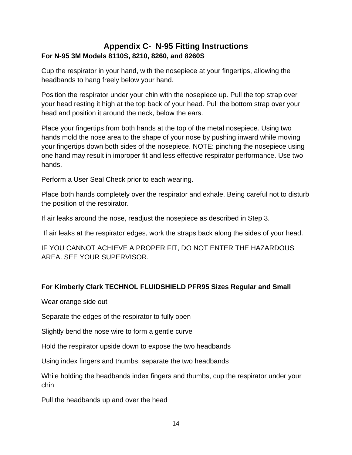#### <span id="page-14-0"></span>**Appendix C- N-95 Fitting Instructions For N-95 3M Models 8110S, 8210, 8260, and 8260S**

Cup the respirator in your hand, with the nosepiece at your fingertips, allowing the headbands to hang freely below your hand.

Position the respirator under your chin with the nosepiece up. Pull the top strap over your head resting it high at the top back of your head. Pull the bottom strap over your head and position it around the neck, below the ears.

Place your fingertips from both hands at the top of the metal nosepiece. Using two hands mold the nose area to the shape of your nose by pushing inward while moving your fingertips down both sides of the nosepiece. NOTE: pinching the nosepiece using one hand may result in improper fit and less effective respirator performance. Use two hands.

Perform a User Seal Check prior to each wearing.

Place both hands completely over the respirator and exhale. Being careful not to disturb the position of the respirator.

If air leaks around the nose, readjust the nosepiece as described in Step 3.

If air leaks at the respirator edges, work the straps back along the sides of your head.

IF YOU CANNOT ACHIEVE A PROPER FIT, DO NOT ENTER THE HAZARDOUS AREA. SEE YOUR SUPERVISOR.

#### **For Kimberly Clark TECHNOL FLUIDSHIELD PFR95 Sizes Regular and Small**

Wear orange side out

Separate the edges of the respirator to fully open

Slightly bend the nose wire to form a gentle curve

Hold the respirator upside down to expose the two headbands

Using index fingers and thumbs, separate the two headbands

While holding the headbands index fingers and thumbs, cup the respirator under your chin

Pull the headbands up and over the head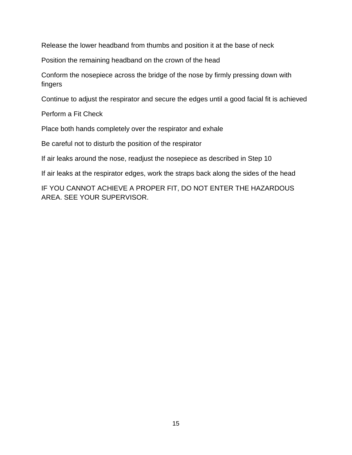Release the lower headband from thumbs and position it at the base of neck

Position the remaining headband on the crown of the head

Conform the nosepiece across the bridge of the nose by firmly pressing down with fingers

Continue to adjust the respirator and secure the edges until a good facial fit is achieved

Perform a Fit Check

Place both hands completely over the respirator and exhale

Be careful not to disturb the position of the respirator

If air leaks around the nose, readjust the nosepiece as described in Step 10

If air leaks at the respirator edges, work the straps back along the sides of the head

IF YOU CANNOT ACHIEVE A PROPER FIT, DO NOT ENTER THE HAZARDOUS AREA. SEE YOUR SUPERVISOR.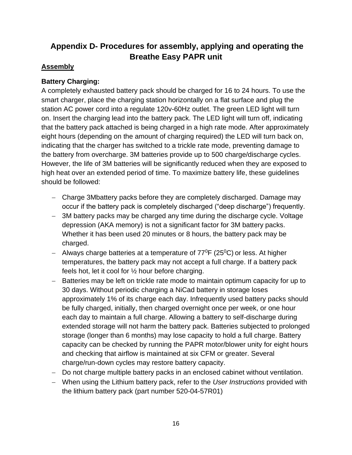### <span id="page-16-0"></span>**Appendix D- Procedures for assembly, applying and operating the Breathe Easy PAPR unit**

#### **Assembly**

#### **Battery Charging:**

A completely exhausted battery pack should be charged for 16 to 24 hours. To use the smart charger, place the charging station horizontally on a flat surface and plug the station AC power cord into a regulate 120v-60Hz outlet. The green LED light will turn on. Insert the charging lead into the battery pack. The LED light will turn off, indicating that the battery pack attached is being charged in a high rate mode. After approximately eight hours (depending on the amount of charging required) the LED will turn back on, indicating that the charger has switched to a trickle rate mode, preventing damage to the battery from overcharge. 3M batteries provide up to 500 charge/discharge cycles. However, the life of 3M batteries will be significantly reduced when they are exposed to high heat over an extended period of time. To maximize battery life, these guidelines should be followed:

- − Charge 3Mbattery packs before they are completely discharged. Damage may occur if the battery pack is completely discharged ("deep discharge") frequently.
- − 3M battery packs may be charged any time during the discharge cycle. Voltage depression (AKA memory) is not a significant factor for 3M battery packs. Whether it has been used 20 minutes or 8 hours, the battery pack may be charged.
- − Always charge batteries at a temperature of 77<sup>0</sup>F (25<sup>0</sup>C) or less. At higher temperatures, the battery pack may not accept a full charge. If a battery pack feels hot, let it cool for ½ hour before charging.
- − Batteries may be left on trickle rate mode to maintain optimum capacity for up to 30 days. Without periodic charging a NiCad battery in storage loses approximately 1% of its charge each day. Infrequently used battery packs should be fully charged, initially, then charged overnight once per week, or one hour each day to maintain a full charge. Allowing a battery to self-discharge during extended storage will not harm the battery pack. Batteries subjected to prolonged storage (longer than 6 months) may lose capacity to hold a full charge. Battery capacity can be checked by running the PAPR motor/blower unity for eight hours and checking that airflow is maintained at six CFM or greater. Several charge/run-down cycles may restore battery capacity.
- − Do not charge multiple battery packs in an enclosed cabinet without ventilation.
- − When using the Lithium battery pack, refer to the *User Instructions* provided with the lithium battery pack (part number 520-04-57R01)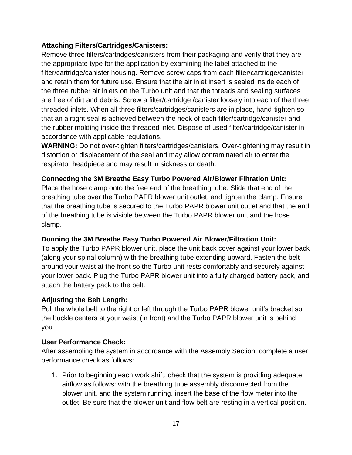#### **Attaching Filters/Cartridges/Canisters:**

Remove three filters/cartridges/canisters from their packaging and verify that they are the appropriate type for the application by examining the label attached to the filter/cartridge/canister housing. Remove screw caps from each filter/cartridge/canister and retain them for future use. Ensure that the air inlet insert is sealed inside each of the three rubber air inlets on the Turbo unit and that the threads and sealing surfaces are free of dirt and debris. Screw a filter/cartridge /canister loosely into each of the three threaded inlets. When all three filters/cartridges/canisters are in place, hand-tighten so that an airtight seal is achieved between the neck of each filter/cartridge/canister and the rubber molding inside the threaded inlet. Dispose of used filter/cartridge/canister in accordance with applicable regulations.

**WARNING:** Do not over-tighten filters/cartridges/canisters. Over-tightening may result in distortion or displacement of the seal and may allow contaminated air to enter the respirator headpiece and may result in sickness or death.

#### **Connecting the 3M Breathe Easy Turbo Powered Air/Blower Filtration Unit:**

Place the hose clamp onto the free end of the breathing tube. Slide that end of the breathing tube over the Turbo PAPR blower unit outlet, and tighten the clamp. Ensure that the breathing tube is secured to the Turbo PAPR blower unit outlet and that the end of the breathing tube is visible between the Turbo PAPR blower unit and the hose clamp.

#### **Donning the 3M Breathe Easy Turbo Powered Air Blower/Filtration Unit:**

To apply the Turbo PAPR blower unit, place the unit back cover against your lower back (along your spinal column) with the breathing tube extending upward. Fasten the belt around your waist at the front so the Turbo unit rests comfortably and securely against your lower back. Plug the Turbo PAPR blower unit into a fully charged battery pack, and attach the battery pack to the belt.

#### **Adjusting the Belt Length:**

Pull the whole belt to the right or left through the Turbo PAPR blower unit's bracket so the buckle centers at your waist (in front) and the Turbo PAPR blower unit is behind you.

#### **User Performance Check:**

After assembling the system in accordance with the Assembly Section, complete a user performance check as follows:

1. Prior to beginning each work shift, check that the system is providing adequate airflow as follows: with the breathing tube assembly disconnected from the blower unit, and the system running, insert the base of the flow meter into the outlet. Be sure that the blower unit and flow belt are resting in a vertical position.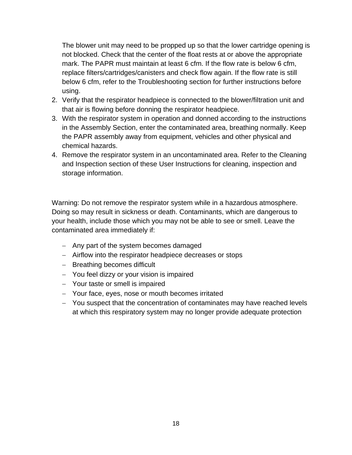The blower unit may need to be propped up so that the lower cartridge opening is not blocked. Check that the center of the float rests at or above the appropriate mark. The PAPR must maintain at least 6 cfm. If the flow rate is below 6 cfm, replace filters/cartridges/canisters and check flow again. If the flow rate is still below 6 cfm, refer to the Troubleshooting section for further instructions before using.

- 2. Verify that the respirator headpiece is connected to the blower/filtration unit and that air is flowing before donning the respirator headpiece.
- 3. With the respirator system in operation and donned according to the instructions in the Assembly Section, enter the contaminated area, breathing normally. Keep the PAPR assembly away from equipment, vehicles and other physical and chemical hazards.
- 4. Remove the respirator system in an uncontaminated area. Refer to the Cleaning and Inspection section of these User Instructions for cleaning, inspection and storage information.

Warning: Do not remove the respirator system while in a hazardous atmosphere. Doing so may result in sickness or death. Contaminants, which are dangerous to your health, include those which you may not be able to see or smell. Leave the contaminated area immediately if:

- − Any part of the system becomes damaged
- − Airflow into the respirator headpiece decreases or stops
- − Breathing becomes difficult
- − You feel dizzy or your vision is impaired
- − Your taste or smell is impaired
- − Your face, eyes, nose or mouth becomes irritated
- − You suspect that the concentration of contaminates may have reached levels at which this respiratory system may no longer provide adequate protection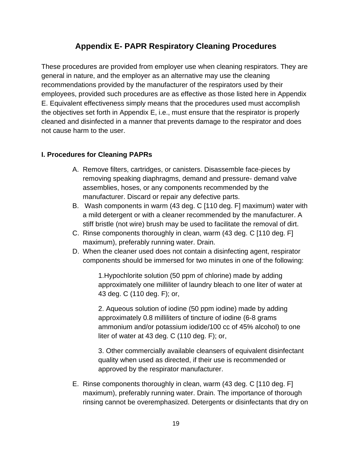#### **Appendix E- PAPR Respiratory Cleaning Procedures**

<span id="page-19-0"></span>These procedures are provided from employer use when cleaning respirators. They are general in nature, and the employer as an alternative may use the cleaning recommendations provided by the manufacturer of the respirators used by their employees, provided such procedures are as effective as those listed here in Appendix E. Equivalent effectiveness simply means that the procedures used must accomplish the objectives set forth in Appendix E, i.e., must ensure that the respirator is properly cleaned and disinfected in a manner that prevents damage to the respirator and does not cause harm to the user.

#### **I. Procedures for Cleaning PAPRs**

- A. Remove filters, cartridges, or canisters. Disassemble face-pieces by removing speaking diaphragms, demand and pressure- demand valve assemblies, hoses, or any components recommended by the manufacturer. Discard or repair any defective parts.
- B. Wash components in warm (43 deg. C [110 deg. F] maximum) water with a mild detergent or with a cleaner recommended by the manufacturer. A stiff bristle (not wire) brush may be used to facilitate the removal of dirt.
- C. Rinse components thoroughly in clean, warm (43 deg. C [110 deg. F] maximum), preferably running water. Drain.
- D. When the cleaner used does not contain a disinfecting agent, respirator components should be immersed for two minutes in one of the following:

1.Hypochlorite solution (50 ppm of chlorine) made by adding approximately one milliliter of laundry bleach to one liter of water at 43 deg. C (110 deg. F); or,

2. Aqueous solution of iodine (50 ppm iodine) made by adding approximately 0.8 milliliters of tincture of iodine (6-8 grams ammonium and/or potassium iodide/100 cc of 45% alcohol) to one liter of water at 43 deg. C (110 deg. F); or,

3. Other commercially available cleansers of equivalent disinfectant quality when used as directed, if their use is recommended or approved by the respirator manufacturer.

E. Rinse components thoroughly in clean, warm (43 deg. C [110 deg. F] maximum), preferably running water. Drain. The importance of thorough rinsing cannot be overemphasized. Detergents or disinfectants that dry on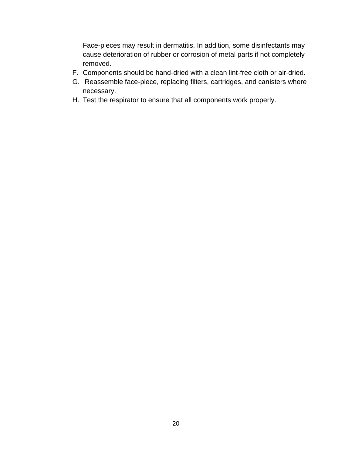Face-pieces may result in dermatitis. In addition, some disinfectants may cause deterioration of rubber or corrosion of metal parts if not completely removed.

- F. Components should be hand-dried with a clean lint-free cloth or air-dried.
- G. Reassemble face-piece, replacing filters, cartridges, and canisters where necessary.
- H. Test the respirator to ensure that all components work properly.